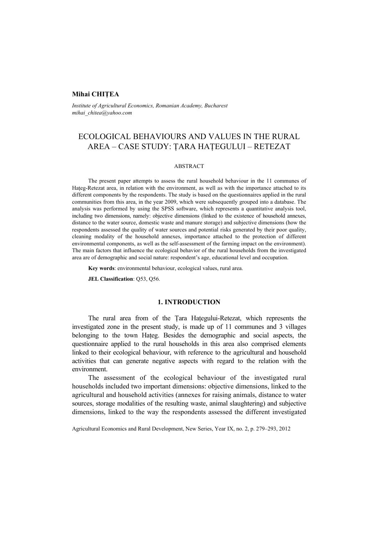# **Mihai CHIŢEA**

*Institute of Agricultural Economics, Romanian Academy, Bucharest mihai\_chitea@yahoo.com*

# ECOLOGICAL BEHAVIOURS AND VALUES IN THE RURAL AREA – CASE STUDY: ŢARA HAŢEGULUI – RETEZAT

### ABSTRACT

The present paper attempts to assess the rural household behaviour in the 11 communes of Hateg-Retezat area, in relation with the environment, as well as with the importance attached to its different components by the respondents. The study is based on the questionnaires applied in the rural communities from this area, in the year 2009, which were subsequently grouped into a database. The analysis was performed by using the SPSS software, which represents a quantitative analysis tool, including two dimensions, namely: objective dimensions (linked to the existence of household annexes, distance to the water source, domestic waste and manure storage) and subjective dimensions (how the respondents assessed the quality of water sources and potential risks generated by their poor quality, cleaning modality of the household annexes, importance attached to the protection of different environmental components, as well as the self-assessment of the farming impact on the environment). The main factors that influence the ecological behavior of the rural households from the investigated area are of demographic and social nature: respondent's age, educational level and occupation.

**Key words**: environmental behaviour, ecological values, rural area.

**JEL Classification**: Q53, Q56.

# **1. INTRODUCTION**

The rural area from of the Tara Hategului-Retezat, which represents the investigated zone in the present study, is made up of 11 communes and 3 villages belonging to the town Hateg. Besides the demographic and social aspects, the questionnaire applied to the rural households in this area also comprised elements linked to their ecological behaviour, with reference to the agricultural and household activities that can generate negative aspects with regard to the relation with the environment.

The assessment of the ecological behaviour of the investigated rural households included two important dimensions: objective dimensions, linked to the agricultural and household activities (annexes for raising animals, distance to water sources, storage modalities of the resulting waste, animal slaughtering) and subjective dimensions, linked to the way the respondents assessed the different investigated

Agricultural Economics and Rural Development, New Series, Year IX, no. 2, p. 279–293, 2012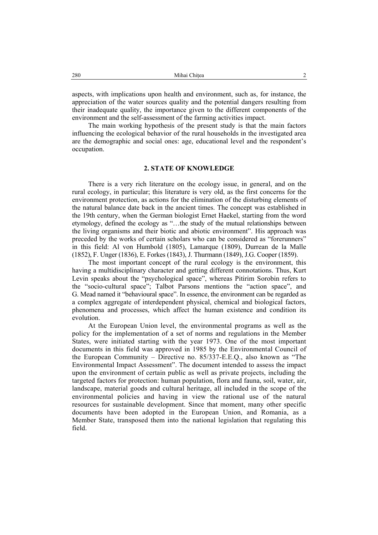aspects, with implications upon health and environment, such as, for instance, the appreciation of the water sources quality and the potential dangers resulting from their inadequate quality, the importance given to the different components of the environment and the self-assessment of the farming activities impact.

The main working hypothesis of the present study is that the main factors influencing the ecological behavior of the rural households in the investigated area are the demographic and social ones: age, educational level and the respondent's occupation.

### **2. STATE OF KNOWLEDGE**

There is a very rich literature on the ecology issue, in general, and on the rural ecology, in particular; this literature is very old, as the first concerns for the environment protection, as actions for the elimination of the disturbing elements of the natural balance date back in the ancient times. The concept was established in the 19th century, when the German biologist Ernet Haekel, starting from the word etymology, defined the ecology as "…the study of the mutual relationships between the living organisms and their biotic and abiotic environment". His approach was preceded by the works of certain scholars who can be considered as "forerunners" in this field: Al von Humbold (1805), Lamarque (1809), Durrean de la Malle (1852), F. Unger (1836), E. Forkes (1843), J. Thurmann (1849), J.G. Cooper (1859).

The most important concept of the rural ecology is the environment, this having a multidisciplinary character and getting different connotations. Thus, Kurt Levin speaks about the "psychological space", whereas Pitirim Sorobin refers to the "socio-cultural space"; Talbot Parsons mentions the "action space", and G. Mead named it "behavioural space". In essence, the environment can be regarded as a complex aggregate of interdependent physical, chemical and biological factors, phenomena and processes, which affect the human existence and condition its evolution.

At the European Union level, the environmental programs as well as the policy for the implementation of a set of norms and regulations in the Member States, were initiated starting with the year 1973. One of the most important documents in this field was approved in 1985 by the Environmental Council of the European Community – Directive no. 85/337-E.E.Q., also known as "The Environmental Impact Assessment". The document intended to assess the impact upon the environment of certain public as well as private projects, including the targeted factors for protection: human population, flora and fauna, soil, water, air, landscape, material goods and cultural heritage, all included in the scope of the environmental policies and having in view the rational use of the natural resources for sustainable development. Since that moment, many other specific documents have been adopted in the European Union, and Romania, as a Member State, transposed them into the national legislation that regulating this field.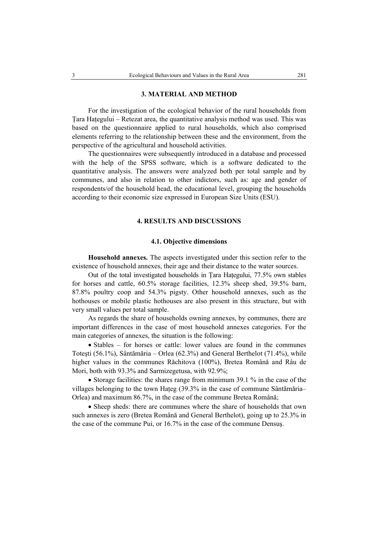### **3. MATERIAL AND METHOD**

For the investigation of the ecological behavior of the rural households from Tara Hategului – Retezat area, the quantitative analysis method was used. This was based on the questionnaire applied to rural households, which also comprised elements referring to the relationship between these and the environment, from the perspective of the agricultural and household activities.

The questionnaires were subsequently introduced in a database and processed with the help of the SPSS software, which is a software dedicated to the quantitative analysis. The answers were analyzed both per total sample and by communes, and also in relation to other indictors, such as: age and gender of respondents/of the household head, the educational level, grouping the households according to their economic size expressed in European Size Units (ESU).

### **4. RESULTS AND DISCUSSIONS**

# **4.1. Objective dimensions**

**Household annexes.** The aspects investigated under this section refer to the existence of household annexes, their age and their distance to the water sources.

Out of the total investigated households in Tara Hategului, 77.5% own stables for horses and cattle, 60.5% storage facilities, 12.3% sheep shed, 39.5% barn, 87.8% poultry coop and 54.3% pigsty. Other household annexes, such as the hothouses or mobile plastic hothouses are also present in this structure, but with very small values per total sample.

As regards the share of households owning annexes, by communes, there are important differences in the case of most household annexes categories. For the main categories of annexes, the situation is the following:

• Stables – for horses or cattle: lower values are found in the communes Toteşti (56.1%), Sântămăria – Orlea (62.3%) and General Berthelot (71.4%), while higher values in the communes Răchitova (100%), Bretea Română and Râu de Mori, both with 93.3% and Sarmizegetusa, with 92.9%;

• Storage facilities: the shares range from minimum 39.1 % in the case of the villages belonging to the town Haţeg (39.3% in the case of commune Sântămăria– Orlea) and maximum 86.7%, in the case of the commune Bretea Română;

• Sheep sheds: there are communes where the share of households that own such annexes is zero (Bretea Română and General Berthelot), going up to 25.3% in the case of the commune Pui, or 16.7% in the case of the commune Densuş.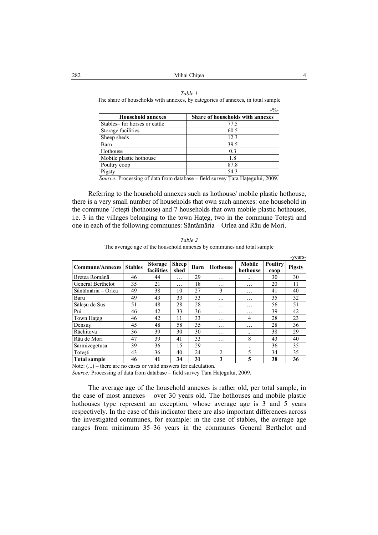#### *Table 1*

The share of households with annexes, by categories of annexes, in total sample

|                              | $-9/0-$                          |
|------------------------------|----------------------------------|
| <b>Household annexes</b>     | Share of households with annexes |
| Stables-for horses or cattle | 77.5                             |
| Storage facilities           | 60.5                             |
| Sheep sheds                  | 12.3                             |
| Barn                         | 39.5                             |
| Hothouse                     | 0.3                              |
| Mobile plastic hothouse      | 1.8                              |
| Poultry coop                 | 87.8                             |
| Pigsty                       | 54.3                             |

*Source:* Processing of data from database – field survey Ţara Haţegului, 2009.

Referring to the household annexes such as hothouse/ mobile plastic hothouse, there is a very small number of households that own such annexes: one household in the commune Toteşti (hothouse) and 7 households that own mobile plastic hothouses, i.e. 3 in the villages belonging to the town Hateg, two in the commune Totesti and one in each of the following communes: Sântămăria – Orlea and Râu de Mori.

*Table 2*  The average age of the household annexes by communes and total sample

| <b>Commune/Annexes</b> | <b>Stables</b> | <b>Storage</b><br>facilities | <b>Sheep</b><br>shed | <b>Barn</b> | <b>Hothouse</b> | Mobile<br>hothouse | <b>Poultry</b><br>$\bf{coop}$ | <b>Pigsty</b> |
|------------------------|----------------|------------------------------|----------------------|-------------|-----------------|--------------------|-------------------------------|---------------|
| Bretea Română          | 46             | 44                           | .                    | 29          | .               | $\cdots$           | 30                            | 30            |
| General Berthelot      | 35             | 21                           | .                    | 18          | .               | .                  | 20                            | 11            |
| Sântămăria - Orlea     | 49             | 38                           | 10                   | 27          | 3               | .                  | 41                            | 40            |
| Baru                   | 49             | 43                           | 33                   | 33          |                 | .                  | 35                            | 32            |
| Sălasu de Sus          | 51             | 48                           | 28                   | 28          | .               | .                  | 56                            | 51            |
| Pui                    | 46             | 42                           | 33                   | 36          | .               | .                  | 39                            | 42            |
| Town Hateg             | 46             | 42                           | 11                   | 33          | .               | 4                  | 28                            | 23            |
| Densus                 | 45             | 48                           | 58                   | 35          | .               | .                  | 28                            | 36            |
| Răchitova              | 36             | 39                           | 30                   | 30          | .               |                    | 38                            | 29            |
| Râu de Mori            | 47             | 39                           | 41                   | 33          | .               | 8                  | 43                            | 40            |
| Sarmizegetusa          | 39             | 36                           | 15                   | 29          |                 |                    | 36                            | 35            |
| Totesti                | 43             | 36                           | 40                   | 24          | $\overline{2}$  | 5                  | 34                            | 35            |
| <b>Total sample</b>    | 46             | 41                           | 34                   | 31          | 3               | 5                  | 38                            | 36            |

Note:  $(...)$  – there are no cases or valid answers for calculation.

*Source:* Processing of data from database – field survey Tara Hategului, 2009.

The average age of the household annexes is rather old, per total sample, in the case of most annexes – over 30 years old. The hothouses and mobile plastic hothouses type represent an exception, whose average age is 3 and 5 years respectively. In the case of this indicator there are also important differences across the investigated communes, for example: in the case of stables, the average age ranges from minimum 35–36 years in the communes General Berthelot and

-years-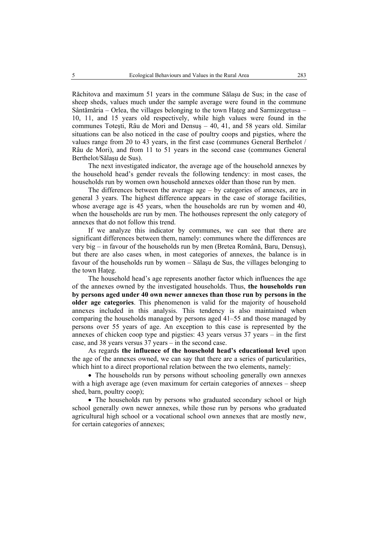Răchitova and maximum 51 years in the commune Sălaşu de Sus; in the case of sheep sheds, values much under the sample average were found in the commune Sântămăria – Orlea, the villages belonging to the town Hateg and Sarmizegetusa – 10, 11, and 15 years old respectively, while high values were found in the communes Toteşti, Râu de Mori and Densuş – 40, 41, and 58 years old. Similar situations can be also noticed in the case of poultry coops and pigsties, where the values range from 20 to 43 years, in the first case (communes General Berthelot / Râu de Mori), and from 11 to 51 years in the second case (communes General Berthelot/Sălaşu de Sus).

The next investigated indicator, the average age of the household annexes by the household head's gender reveals the following tendency: in most cases, the households run by women own household annexes older than those run by men.

The differences between the average age – by categories of annexes, are in general 3 years. The highest difference appears in the case of storage facilities, whose average age is 45 years, when the households are run by women and 40, when the households are run by men. The hothouses represent the only category of annexes that do not follow this trend.

If we analyze this indicator by communes, we can see that there are significant differences between them, namely: communes where the differences are very big – in favour of the households run by men (Bretea Română, Baru, Densuş), but there are also cases when, in most categories of annexes, the balance is in favour of the households run by women – Sălaşu de Sus, the villages belonging to the town Hateg.

The household head's age represents another factor which influences the age of the annexes owned by the investigated households. Thus, **the households run by persons aged under 40 own newer annexes than those run by persons in the older age categories**. This phenomenon is valid for the majority of household annexes included in this analysis. This tendency is also maintained when comparing the households managed by persons aged 41–55 and those managed by persons over 55 years of age. An exception to this case is represented by the annexes of chicken coop type and pigsties: 43 years versus 37 years – in the first case, and 38 years versus 37 years – in the second case.

As regards **the influence of the household head's educational level** upon the age of the annexes owned, we can say that there are a series of particularities, which hint to a direct proportional relation between the two elements, namely:

• The households run by persons without schooling generally own annexes with a high average age (even maximum for certain categories of annexes – sheep shed, barn, poultry coop);

• The households run by persons who graduated secondary school or high school generally own newer annexes, while those run by persons who graduated agricultural high school or a vocational school own annexes that are mostly new, for certain categories of annexes;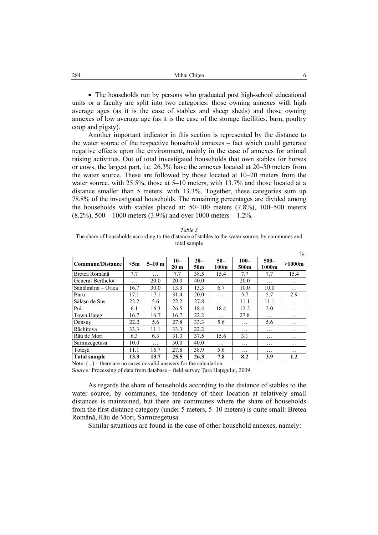| 284 | Mihai Chitea |  |
|-----|--------------|--|
|     |              |  |

• The households run by persons who graduated post high-school educational units or a faculty are split into two categories: those owning annexes with high average ages (as it is the case of stables and sheep sheds) and those owning annexes of low average age (as it is the case of the storage facilities, barn, poultry coop and pigsty).

Another important indicator in this section is represented by the distance to the water source of the respective household annexes – fact which could generate negative effects upon the environment, mainly in the case of annexes for animal raising activities. Out of total investigated households that own stables for horses or cows, the largest part, i.e. 26.3% have the annexes located at 20–50 meters from the water source. These are followed by those located at 10–20 meters from the water source, with 25.5%, those at 5–10 meters, with 13.7% and those located at a distance smaller than 5 meters, with 13.3%. Together, these categories sum up 78.8% of the investigated households. The remaining percentages are divided among the households with stables placed at: 50–100 meters (7.8%), 100–500 meters  $(8.2\%)$ ,  $500 - 1000$  meters  $(3.9\%)$  and over 1000 meters  $-1.2\%$ .

| ani |  |
|-----|--|
|     |  |

The share of households according to the distance of stables to the water source, by communes and total sample

| <b>Commune/Distance</b> | $<$ 5m | $5-10$ m | $10 -$<br>20 <sub>m</sub> | $20 -$<br>50 <sub>m</sub> | $50-$<br>100m | $100 -$<br>500m | $500 -$<br>1000m | >1000m   |
|-------------------------|--------|----------|---------------------------|---------------------------|---------------|-----------------|------------------|----------|
| Bretea Română           | 7.7    | .        | 7.7                       | 38.5                      | 15.4          | 7.7             | 7.7              | 15.4     |
| General Berthelot       | .      | 20.0     | 20.0                      | 40.0                      | .             | 20.0            | .                | .        |
| Sântămăria – Orlea      | 16.7   | 30.0     | 13.3                      | 13.3                      | 6.7           | 10.0            | 10.0             | .        |
| Baru                    | 17.1   | 17.1     | 31.4                      | 20.0                      | .             | 5.7             | 5.7              | 2.9      |
| Sălasu de Sus           | 22.2   | 5.6      | 22.2                      | 27.8                      | .             | 11.1            | 11.1             | .        |
| Pui                     | 6.1    | 16.3     | 26.5                      | 18.4                      | 18.4          | 12.2            | 2.0              | .        |
| Town Hateg              | 16.7   | 16.7     | 16.7                      | 22.2                      | .             | 27.8            | .                | .        |
| Densus                  | 22.2   | 5.6      | 27.8                      | 33.3                      | 5.6           | .               | 5.6              | .        |
| Răchitova               | 33.3   | 11.1     | 33.3                      | 22.2                      | $\cdots$      | $\cdots$        | .                | $\cdots$ |
| Râu de Mori             | 6.3    | 6.3      | 31.3                      | 37.5                      | 15.6          | 3.1             | .                | .        |
| Sarmizegetusa           | 10.0   | .        | 50.0                      | 40.0                      | .             | .               | .                | .        |
| Totești                 | 11.1   | 16.7     | 27.8                      | 38.9                      | 5.6           | .               | .                | .        |
| <b>Total sample</b>     | 13.3   | 13.7     | 25.5                      | 26.3                      | 7.8           | 8.2             | 3.9              | $1.2\,$  |

Note: (...) – there are no cases or valid answers for the calculation.

S*ource:* Processing of data from database – field survey Ţara Haţegului, 2009.

As regards the share of households according to the distance of stables to the water source, by communes, the tendency of their location at relatively small distances is maintained, but there are communes where the share of households from the first distance category (under 5 meters, 5–10 meters) is quite small: Bretea Română, Râu de Mori, Sarmizegetusa.

Similar situations are found in the case of other household annexes, namely:

 $\overline{0}$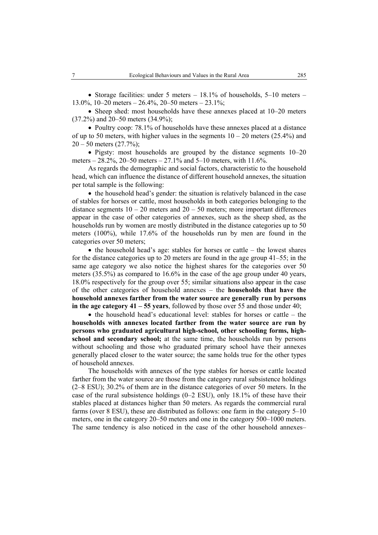• Storage facilities: under 5 meters  $-18.1\%$  of households, 5–10 meters – 13.0%, 10–20 meters –  $26.4\%$ , 20–50 meters –  $23.1\%$ ;

• Sheep shed: most households have these annexes placed at 10–20 meters (37.2%) and 20–50 meters (34.9%);

• Poultry coop: 78.1% of households have these annexes placed at a distance of up to 50 meters, with higher values in the segments  $10 - 20$  meters (25.4%) and  $20 - 50$  meters  $(27.7%)$ ;

• Pigsty: most households are grouped by the distance segments 10–20 meters –  $28.2\%$ ,  $20-50$  meters –  $27.1\%$  and  $5-10$  meters, with  $11.6\%$ .

As regards the demographic and social factors, characteristic to the household head, which can influence the distance of different household annexes, the situation per total sample is the following:

• the household head's gender: the situation is relatively balanced in the case of stables for horses or cattle, most households in both categories belonging to the distance segments  $10 - 20$  meters and  $20 - 50$  meters; more important differences appear in the case of other categories of annexes, such as the sheep shed, as the households run by women are mostly distributed in the distance categories up to 50 meters (100%), while 17.6% of the households run by men are found in the categories over 50 meters;

• the household head's age: stables for horses or cattle – the lowest shares for the distance categories up to 20 meters are found in the age group 41–55; in the same age category we also notice the highest shares for the categories over 50 meters (35.5%) as compared to 16.6% in the case of the age group under 40 years, 18.0% respectively for the group over 55; similar situations also appear in the case of the other categories of household annexes – the **households that have the household annexes farther from the water source are generally run by persons in the age category 41 – 55 years**, followed by those over 55 and those under 40;

• the household head's educational level: stables for horses or cattle – the **households with annexes located farther from the water source are run by persons who graduated agricultural high-school, other schooling forms, highschool and secondary school;** at the same time, the households run by persons without schooling and those who graduated primary school have their annexes generally placed closer to the water source; the same holds true for the other types of household annexes.

The households with annexes of the type stables for horses or cattle located farther from the water source are those from the category rural subsistence holdings (2–8 ESU); 30.2% of them are in the distance categories of over 50 meters. In the case of the rural subsistence holdings  $(0-2$  ESU), only 18.1% of these have their stables placed at distances higher than 50 meters. As regards the commercial rural farms (over 8 ESU), these are distributed as follows: one farm in the category 5–10 meters, one in the category 20–50 meters and one in the category 500–1000 meters. The same tendency is also noticed in the case of the other household annexes–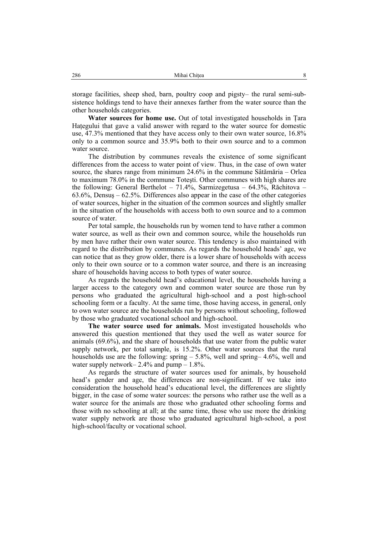storage facilities, sheep shed, barn, poultry coop and pigsty– the rural semi-subsistence holdings tend to have their annexes farther from the water source than the other households categories.

**Water sources for home use.** Out of total investigated households in Ţara Hategului that gave a valid answer with regard to the water source for domestic use, 47.3% mentioned that they have access only to their own water source, 16.8% only to a common source and 35.9% both to their own source and to a common water source.

The distribution by communes reveals the existence of some significant differences from the access to water point of view. Thus, in the case of own water source, the shares range from minimum 24.6% in the commune Sâtămăria – Orlea to maximum 78.0% in the commune Toteşti. Other communes with high shares are the following: General Berthelot – 71.4%, Sarmizegetusa – 64.3%, Răchitova – 63.6%, Densuş – 62.5%. Differences also appear in the case of the other categories of water sources, higher in the situation of the common sources and slightly smaller in the situation of the households with access both to own source and to a common source of water.

Per total sample, the households run by women tend to have rather a common water source, as well as their own and common source, while the households run by men have rather their own water source. This tendency is also maintained with regard to the distribution by communes. As regards the household heads' age, we can notice that as they grow older, there is a lower share of households with access only to their own source or to a common water source, and there is an increasing share of households having access to both types of water source.

As regards the household head's educational level, the households having a larger access to the category own and common water source are those run by persons who graduated the agricultural high-school and a post high-school schooling form or a faculty. At the same time, those having access, in general, only to own water source are the households run by persons without schooling, followed by those who graduated vocational school and high-school.

**The water source used for animals.** Most investigated households who answered this question mentioned that they used the well as water source for animals (69.6%), and the share of households that use water from the public water supply network, per total sample, is 15.2%. Other water sources that the rural households use are the following: spring  $-5.8\%$ , well and spring  $-4.6\%$ , well and water supply network–  $2.4\%$  and pump – 1.8%.

As regards the structure of water sources used for animals, by household head's gender and age, the differences are non-significant. If we take into consideration the household head's educational level, the differences are slightly bigger, in the case of some water sources: the persons who rather use the well as a water source for the animals are those who graduated other schooling forms and those with no schooling at all; at the same time, those who use more the drinking water supply network are those who graduated agricultural high-school, a post high-school/faculty or vocational school.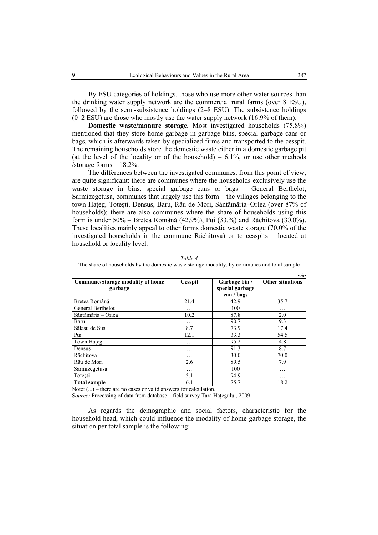By ESU categories of holdings, those who use more other water sources than the drinking water supply network are the commercial rural farms (over 8 ESU), followed by the semi-subsistence holdings (2–8 ESU). The subsistence holdings  $(0-2$  ESU) are those who mostly use the water supply network  $(16.9\%$  of them).

**Domestic waste/manure storage.** Most investigated households (75.8%) mentioned that they store home garbage in garbage bins, special garbage cans or bags, which is afterwards taken by specialized firms and transported to the cesspit. The remaining households store the domestic waste either in a domestic garbage pit (at the level of the locality or of the household) –  $6.1\%$ , or use other methods /storage forms – 18.2%.

The differences between the investigated communes, from this point of view, are quite significant: there are communes where the households exclusively use the waste storage in bins, special garbage cans or bags – General Berthelot, Sarmizegetusa, communes that largely use this form – the villages belonging to the town Haţeg, Toteşti, Densuş, Baru, Râu de Mori, Sântămăria–Orlea (over 87% of households); there are also communes where the share of households using this form is under 50% – Bretea Română (42.9%), Pui (33.%) and Răchitova (30.0%). These localities mainly appeal to other forms domestic waste storage (70.0% of the investigated households in the commune Răchitova) or to cesspits – located at household or locality level.

| Table 4                                                                                      |
|----------------------------------------------------------------------------------------------|
| The share of households by the domestic waste storage modality, by communes and total sample |

|                                             |                |                                                | $-9/0-$                 |
|---------------------------------------------|----------------|------------------------------------------------|-------------------------|
| Commune/Storage modality of home<br>garbage | <b>Cesspit</b> | Garbage bin /<br>special garbage<br>can / bags | <b>Other situations</b> |
| Bretea Română                               | 21.4           | 42.9                                           | 35.7                    |
| General Berthelot                           | .              | 100                                            | .                       |
| Sântămăria - Orlea                          | 10.2           | 87.8                                           | 2.0                     |
| Baru                                        | $\cdots$       | 90.7                                           | 9.3                     |
| Sălașu de Sus                               | 8.7            | 73.9                                           | 17.4                    |
| Pui                                         | 12.1           | 33.3                                           | 54.5                    |
| Town Hateg                                  | .              | 95.2                                           | 4.8                     |
| Densus                                      | .              | 91.3                                           | 8.7                     |
| Răchitova                                   | $\cdots$       | 30.0                                           | 70.0                    |
| Râu de Mori                                 | 2.6            | 89.5                                           | 7.9                     |
| Sarmizegetusa                               | $\cdots$       | 100                                            | .                       |
| Totești                                     | 5.1            | 94.9                                           | .                       |
| <b>Total sample</b>                         | 6.1            | 75.7                                           | 18.2                    |

Note:  $(...)$  – there are no cases or valid answers for calculation.

S*ource:* Processing of data from database – field survey Ţara Haţegului, 2009.

As regards the demographic and social factors, characteristic for the household head, which could influence the modality of home garbage storage, the situation per total sample is the following: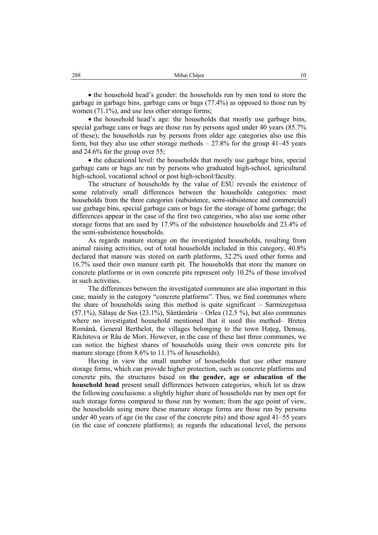• the household head's gender: the households run by men tend to store the garbage in garbage bins, garbage cans or bags (77.4%) as opposed to those run by women (71.1%), and use less other storage forms;

• the household head's age: the households that mostly use garbage bins, special garbage cans or bags are those run by persons aged under 40 years (85.7% of these); the households run by persons from older age categories also use this form, but they also use other storage methods  $-27.8\%$  for the group 41–45 years and 24.6% for the group over 55;

• the educational level: the households that mostly use garbage bins, special garbage cans or bags are run by persons who graduated high-school, agricultural high-school, vocational school or post high-school/faculty.

The structure of households by the value of ESU reveals the existence of some relatively small differences between the households categories: most households from the three categories (subsistence, semi-subsistence and commercial) use garbage bins, special garbage cans or bags for the storage of home garbage; the differences appear in the case of the first two categories, who also use some other storage forms that are used by 17.9% of the subsistence households and 23.4% of the semi-subsistence households.

As regards manure storage on the investigated households, resulting from animal raising activities, out of total households included in this category, 40.8% declared that manure was stored on earth platforms, 32.2% used other forms and 16.7% used their own manure earth pit. The households that store the manure on concrete platforms or in own concrete pits represent only 10.2% of those involved in such activities.

The differences between the investigated communes are also important in this case, mainly in the category "concrete platforms". Thus, we find communes where the share of households using this method is quite significant – Sarmizegetusa (57.1%), Sălaşu de Sus (23.1%), Sântămăria – Orlea (12.5 %), but also communes where no investigated household mentioned that it used this method– Bretea Română, General Berthelot, the villages belonging to the town Haţeg, Densuş, Răchitova or Râu de Mori. However, in the case of these last three communes, we can notice the highest shares of households using their own concrete pits for manure storage (from 8.6% to 11.1% of households).

Having in view the small number of households that use other manure storage forms, which can provide higher protection, such as concrete platforms and concrete pits, the structures based on **the gender, age or education of the household head** present small differences between categories, which let us draw the following conclusions: a slightly higher share of households run by men opt for such storage forms compared to those run by women; from the age point of view, the households using more these manure storage forms are those run by persons under 40 years of age (in the case of the concrete pits) and those aged 41–55 years (in the case of concrete platforms); as regards the educational level, the persons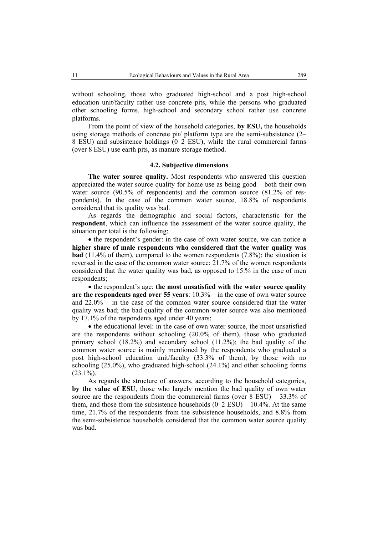without schooling, those who graduated high-school and a post high-school education unit/faculty rather use concrete pits, while the persons who graduated other schooling forms, high-school and secondary school rather use concrete platforms.

From the point of view of the household categories, **by ESU,** the households using storage methods of concrete pit/ platform type are the semi-subsistence (2– 8 ESU) and subsistence holdings (0–2 ESU), while the rural commercial farms (over 8 ESU) use earth pits, as manure storage method.

### **4.2. Subjective dimensions**

**The water source quality.** Most respondents who answered this question appreciated the water source quality for home use as being good – both their own water source (90.5% of respondents) and the common source (81.2% of respondents). In the case of the common water source, 18.8% of respondents considered that its quality was bad.

As regards the demographic and social factors, characteristic for the **respondent**, which can influence the assessment of the water source quality, the situation per total is the following:

• the respondent's gender: in the case of own water source, we can notice **a higher share of male respondents who considered that the water quality was bad** (11.4% of them), compared to the women respondents (7.8%); the situation is reversed in the case of the common water source: 21.7% of the women respondents considered that the water quality was bad, as opposed to 15.% in the case of men respondents;

• the respondent's age: **the most unsatisfied with the water source quality are the respondents aged over 55 years**: 10.3% – in the case of own water source and 22.0% – in the case of the common water source considered that the water quality was bad; the bad quality of the common water source was also mentioned by 17.1% of the respondents aged under 40 years;

• the educational level: in the case of own water source, the most unsatisfied are the respondents without schooling (20.0% of them), those who graduated primary school  $(18.2\%)$  and secondary school  $(11.2\%)$ ; the bad quality of the common water source is mainly mentioned by the respondents who graduated a post high-school education unit/faculty (33.3% of them), by those with no schooling  $(25.0\%)$ , who graduated high-school  $(24.1\%)$  and other schooling forms  $(23.1\%)$ .

As regards the structure of answers, according to the household categories, **by the value of ESU**, those who largely mention the bad quality of own water source are the respondents from the commercial farms (over 8 ESU) – 33.3% of them, and those from the subsistence households  $(0-2$  ESU) – 10.4%. At the same time, 21.7% of the respondents from the subsistence households, and 8.8% from the semi-subsistence households considered that the common water source quality was bad.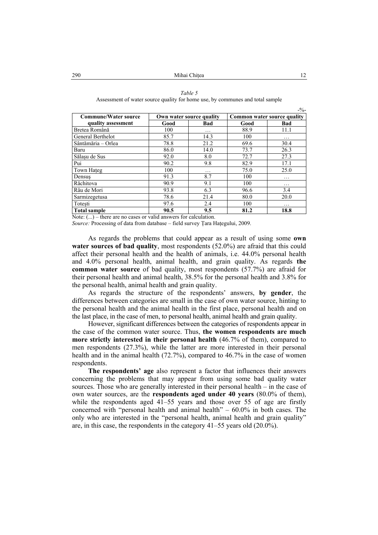#### *Table 5*

Assessment of water source quality for home use, by communes and total sample

| <b>Commune/Water source</b> |      | Own water source quality | Common water source quality |            |  |
|-----------------------------|------|--------------------------|-----------------------------|------------|--|
| quality assessment          | Good | <b>Bad</b>               | Good                        | <b>Bad</b> |  |
| Bretea Română               | 100  | .                        | 88.9                        | 11.1       |  |
| General Berthelot           | 85.7 | 14.3                     | 100                         | .          |  |
| Sântămăria - Orlea          | 78.8 | 21.2                     | 69.6                        | 30.4       |  |
| Baru                        | 86.0 | 14.0                     | 73.7                        | 26.3       |  |
| Sălașu de Sus               | 92.0 | 8.0                      | 72.7                        | 27.3       |  |
| Pui                         | 90.2 | 9.8                      | 82.9                        | 17.1       |  |
| Town Hateg                  | 100  | .                        | 75.0                        | 25.0       |  |
| Densus                      | 91.3 | 8.7                      | 100                         | .          |  |
| Răchitova                   | 90.9 | 9.1                      | 100                         | .          |  |
| Râu de Mori                 | 93.8 | 6.3                      | 96.6                        | 3.4        |  |
| Sarmizegetusa               | 78.6 | 21.4                     | 80.0                        | 20.0       |  |
| Totesti                     | 97.6 | 2.4                      | 100                         | $\cdots$   |  |
| <b>Total sample</b>         | 90.5 | 9.5                      | 81.2                        | 18.8       |  |

Note:  $(...)$  – there are no cases or valid answers for calculation.

*Source:* Processing of data from database – field survey Ţara Haţegului, 2009.

As regards the problems that could appear as a result of using some **own water sources of bad quality**, most respondents (52.0%) are afraid that this could affect their personal health and the health of animals, i.e. 44.0% personal health and 4.0% personal health, animal health, and grain quality. As regards **the common water source** of bad quality, most respondents (57.7%) are afraid for their personal health and animal health, 38.5% for the personal health and 3.8% for the personal health, animal health and grain quality.

As regards the structure of the respondents' answers, **by gender**, the differences between categories are small in the case of own water source, hinting to the personal health and the animal health in the first place, personal health and on the last place, in the case of men, to personal health, animal health and grain quality.

However, significant differences between the categories of respondents appear in the case of the common water source. Thus, **the women respondents are much more strictly interested in their personal health** (46.7% of them), compared to men respondents (27.3%), while the latter are more interested in their personal health and in the animal health (72.7%), compared to 46.7% in the case of women respondents.

**The respondents' age** also represent a factor that influences their answers concerning the problems that may appear from using some bad quality water sources. Those who are generally interested in their personal health – in the case of own water sources, are the **respondents aged under 40 years** (80.0% of them), while the respondents aged 41–55 years and those over 55 of age are firstly concerned with "personal health and animal health" – 60.0% in both cases. The only who are interested in the "personal health, animal health and grain quality" are, in this case, the respondents in the category 41–55 years old (20.0%).

 $-2/6$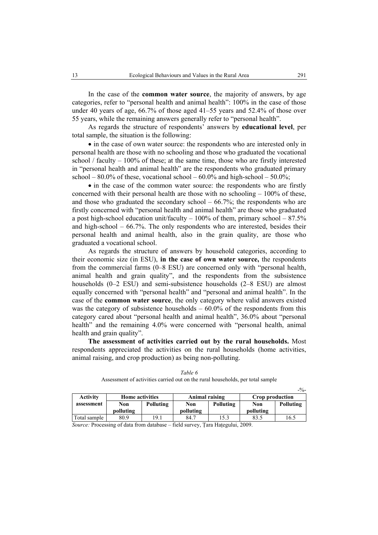In the case of the **common water source**, the majority of answers, by age categories, refer to "personal health and animal health": 100% in the case of those under 40 years of age, 66.7% of those aged 41–55 years and 52.4% of those over 55 years, while the remaining answers generally refer to "personal health".

As regards the structure of respondents' answers by **educational level**, per total sample, the situation is the following:

• in the case of own water source: the respondents who are interested only in personal health are those with no schooling and those who graduated the vocational school / faculty – 100% of these; at the same time, those who are firstly interested in "personal health and animal health" are the respondents who graduated primary school – 80.0% of these, vocational school – 60.0% and high-school – 50.0%;

• in the case of the common water source: the respondents who are firstly concerned with their personal health are those with no schooling  $-100\%$  of these, and those who graduated the secondary school  $-66.7\%$ ; the respondents who are firstly concerned with "personal health and animal health" are those who graduated a post high-school education unit/faculty  $-100\%$  of them, primary school  $-87.5\%$ and high-school –  $66.7\%$ . The only respondents who are interested, besides their personal health and animal health, also in the grain quality, are those who graduated a vocational school.

As regards the structure of answers by household categories, according to their economic size (in ESU), **in the case of own water source,** the respondents from the commercial farms (0–8 ESU) are concerned only with "personal health, animal health and grain quality", and the respondents from the subsistence households (0–2 ESU) and semi-subsistence households (2–8 ESU) are almost equally concerned with "personal health" and "personal and animal health". In the case of the **common water source**, the only category where valid answers existed was the category of subsistence households  $-60.0\%$  of the respondents from this category cared about "personal health and animal health", 36.0% about "personal health" and the remaining 4.0% were concerned with "personal health, animal health and grain quality".

**The assessment of activities carried out by the rural households.** Most respondents appreciated the activities on the rural households (home activities, animal raising, and crop production) as being non-polluting.

|                 |                        |           |                  |      |                 | $-9/0-$   |
|-----------------|------------------------|-----------|------------------|------|-----------------|-----------|
| <b>Activity</b> | <b>Home activities</b> |           | Animal raising   |      | Crop production |           |
| assessment      | Non                    | Polluting | Polluting<br>Non |      | Non             | Polluting |
|                 | polluting              |           | polluting        |      | polluting       |           |
| Total sample    | 80.9                   | 19.1      | 84.7             | 15.3 | 83.5            | 16.5      |

*Table 6*  Assessment of activities carried out on the rural households, per total sample

*Source:* Processing of data from database – field survey, Ţara Haţegului, 2009.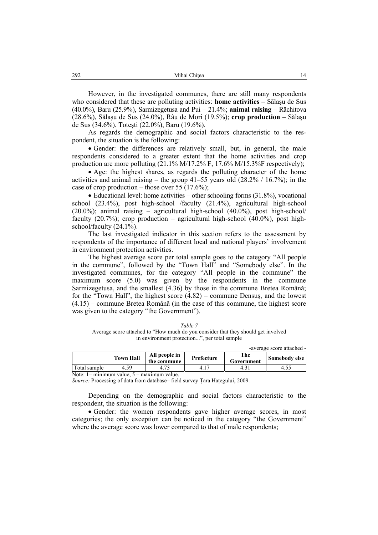However, in the investigated communes, there are still many respondents who considered that these are polluting activities: **home activities –** Sălaşu de Sus (40.0%), Baru (25.9%), Sarmizegetusa and Pui – 21.4%; **animal raising** – Răchitova (28.6%), Sălaşu de Sus (24.0%), Râu de Mori (19.5%); **crop production** – Sălaşu de Sus (34.6%), Toteşti (22.0%), Baru (19.6%).

As regards the demographic and social factors characteristic to the respondent, the situation is the following:

• Gender: the differences are relatively small, but, in general, the male respondents considered to a greater extent that the home activities and crop production are more polluting  $(21.1\% M/17.2\% F, 17.6\% M/15.3\% F$  respectively);

• Age: the highest shares, as regards the polluting character of the home activities and animal raising – the group  $41-55$  years old  $(28.2\% / 16.7\%)$ ; in the case of crop production – those over 55 (17.6%);

• Educational level: home activities – other schooling forms (31.8%), vocational school (23.4%), post high-school /faculty (21.4%), agricultural high-school  $(20.0\%)$ ; animal raising – agricultural high-school  $(40.0\%)$ , post high-school faculty  $(20.7\%)$ ; crop production – agricultural high-school  $(40.0\%)$ , post highschool/faculty (24.1%).

The last investigated indicator in this section refers to the assessment by respondents of the importance of different local and national players' involvement in environment protection activities.

The highest average score per total sample goes to the category "All people in the commune", followed by the "Town Hall" and "Somebody else". In the investigated communes, for the category "All people in the commune" the maximum score (5.0) was given by the respondents in the commune Sarmizegetusa, and the smallest (4.36) by those in the commune Bretea Română; for the "Town Hall", the highest score (4.82) – commune Densuş, and the lowest (4.15) – commune Bretea Română (in the case of this commune, the highest score was given to the category "the Government").

| Table 7                                                                           |
|-----------------------------------------------------------------------------------|
| Average score attached to "How much do you consider that they should get involved |
| in environment protection", per total sample                                      |

|              |                  |                              |            |                   | -average score attached - |
|--------------|------------------|------------------------------|------------|-------------------|---------------------------|
|              | <b>Town Hall</b> | All people in<br>the commune | Prefecture | The<br>Government | Somebody else             |
| Total sample | 4.50             |                              |            | 4.1               | 4.5.                      |
| .            |                  |                              |            |                   |                           |

Note: 1– minimum value, 5 – maximum value.

*Source:* Processing of data from database– field survey Ţara Haţegului, 2009.

Depending on the demographic and social factors characteristic to the respondent, the situation is the following:

• Gender: the women respondents gave higher average scores, in most categories; the only exception can be noticed in the category "the Government" where the average score was lower compared to that of male respondents;